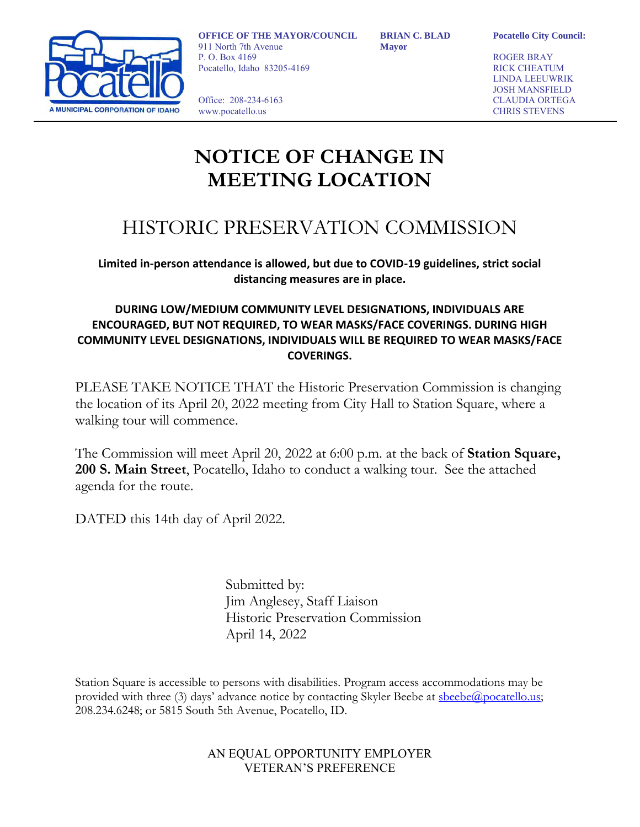

**OFFICE OF THE MAYOR/COUNCIL** 911 North 7th Avenue P. O. Box 4169 Pocatello, Idaho 83205-4169

Office: 208-234-6163 www.pocatello.us

**BRIAN C. BLAD Mayor**

**Pocatello City Council:**

ROGER BRAY RICK CHEATUM LINDA LEEUWRIK JOSH MANSFIELD CLAUDIA ORTEGA CHRIS STEVENS

## **NOTICE OF CHANGE IN MEETING LOCATION**

### HISTORIC PRESERVATION COMMISSION

**Limited in-person attendance is allowed, but due to COVID-19 guidelines, strict social distancing measures are in place.**

### **DURING LOW/MEDIUM COMMUNITY LEVEL DESIGNATIONS, INDIVIDUALS ARE ENCOURAGED, BUT NOT REQUIRED, TO WEAR MASKS/FACE COVERINGS. DURING HIGH COMMUNITY LEVEL DESIGNATIONS, INDIVIDUALS WILL BE REQUIRED TO WEAR MASKS/FACE COVERINGS.**

PLEASE TAKE NOTICE THAT the Historic Preservation Commission is changing the location of its April 20, 2022 meeting from City Hall to Station Square, where a walking tour will commence.

The Commission will meet April 20, 2022 at 6:00 p.m. at the back of **Station Square, 200 S. Main Street**, Pocatello, Idaho to conduct a walking tour. See the attached agenda for the route.

DATED this 14th day of April 2022.

Submitted by: Jim Anglesey, Staff Liaison Historic Preservation Commission April 14, 2022

Station Square is accessible to persons with disabilities. Program access accommodations may be provided with three (3) days' advance notice by contacting Skyler Beebe at [sbeebe@pocatello.us;](mailto:sbeebe@pocatello.us) 208.234.6248; or 5815 South 5th Avenue, Pocatello, ID.

### AN EQUAL OPPORTUNITY EMPLOYER VETERAN'S PREFERENCE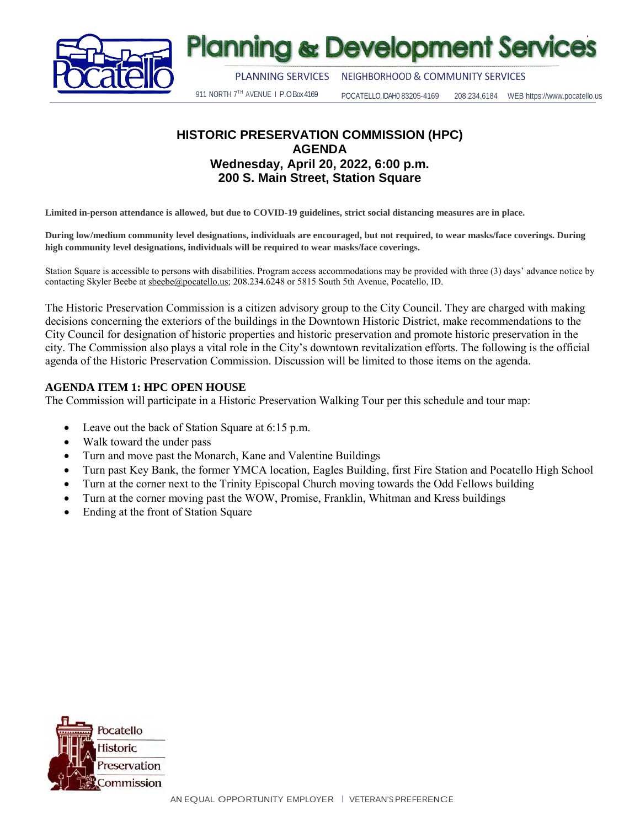

## **Planning & Development Services**

PLANNING SERVICES NEIGHBORHOOD& COMMUNITY SERVICES

911 NORTH 7TH AVENUE | P.O Box 4169 POCATELLO, IDAH0 83205-4169 208.234.6184 WEB https://www.pocatello.us

### **HISTORIC PRESERVATION COMMISSION (HPC) AGENDA Wednesday, April 20, 2022, 6:00 p.m. 200 S. Main Street, Station Square**

**Limited in-person attendance is allowed, but due to COVID-19 guidelines, strict social distancing measures are in place.**

**During low/medium community level designations, individuals are encouraged, but not required, to wear masks/face coverings. During high community level designations, individuals will be required to wear masks/face coverings.**

Station Square is accessible to persons with disabilities. Program access accommodations may be provided with three (3) days' advance notice by contacting Skyler Beebe at [sbeebe@pocatello.us;](mailto:sbeebe@pocatello.us) 208.234.6248 or 5815 South 5th Avenue, Pocatello, ID.

The Historic Preservation Commission is a citizen advisory group to the City Council. They are charged with making decisions concerning the exteriors of the buildings in the Downtown Historic District, make recommendations to the City Council for designation of historic properties and historic preservation and promote historic preservation in the city. The Commission also plays a vital role in the City's downtown revitalization efforts. The following is the official agenda of the Historic Preservation Commission. Discussion will be limited to those items on the agenda.

#### **AGENDA ITEM 1: HPC OPEN HOUSE**

The Commission will participate in a Historic Preservation Walking Tour per this schedule and tour map:

- Leave out the back of Station Square at 6:15 p.m.
- Walk toward the under pass
- Turn and move past the Monarch, Kane and Valentine Buildings
- Turn past Key Bank, the former YMCA location, Eagles Building, first Fire Station and Pocatello High School
- Turn at the corner next to the Trinity Episcopal Church moving towards the Odd Fellows building
- Turn at the corner moving past the WOW, Promise, Franklin, Whitman and Kress buildings
- Ending at the front of Station Square